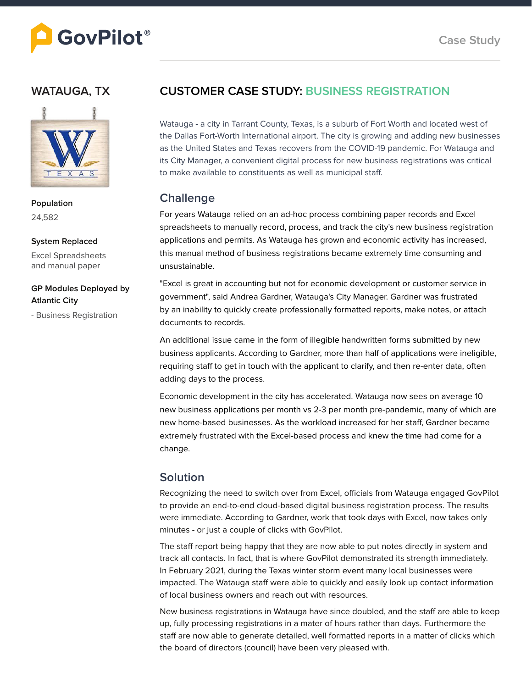

### **WATAUGA, TX**



**Population** 24,582

**System Replaced**

Excel Spreadsheets and manual paper

#### **GP Modules Deployed by Atlantic City**

- Business Registration

## **CUSTOMER CASE STUDY: BUSINESS REGISTRATION**

Watauga - a city in Tarrant County, Texas, is a suburb of Fort Worth and located west of the Dallas Fort-Worth International airport. The city is growing and adding new businesses as the United States and Texas recovers from the COVID-19 pandemic. For Watauga and its City Manager, a convenient digital process for new business registrations was critical to make available to constituents as well as municipal staff.

### **Challenge**

For years Watauga relied on an ad-hoc process combining paper records and Excel spreadsheets to manually record, process, and track the city's new business registration applications and permits. As Watauga has grown and economic activity has increased, this manual method of business registrations became extremely time consuming and unsustainable.

"Excel is great in accounting but not for economic development or customer service in government", said Andrea Gardner, Watauga's City Manager. Gardner was frustrated by an inability to quickly create professionally formatted reports, make notes, or attach documents to records.

An additional issue came in the form of illegible handwritten forms submitted by new business applicants. According to Gardner, more than half of applications were ineligible, requiring staff to get in touch with the applicant to clarify, and then re-enter data, often adding days to the process.

Economic development in the city has accelerated. Watauga now sees on average 10 new business applications per month vs 2-3 per month pre-pandemic, many of which are new home-based businesses. As the workload increased for her staff, Gardner became extremely frustrated with the Excel-based process and knew the time had come for a change.

### **Solution**

Recognizing the need to switch over from Excel, officials from Watauga engaged GovPilot to provide an end-to-end cloud-based digital business registration process. The results were immediate. According to Gardner, work that took days with Excel, now takes only minutes - or just a couple of clicks with GovPilot.

The staff report being happy that they are now able to put notes directly in system and track all contacts. In fact, that is where GovPilot demonstrated its strength immediately. In February 2021, during the Texas winter storm event many local businesses were impacted. The Watauga staff were able to quickly and easily look up contact information of local business owners and reach out with resources.

New business registrations in Watauga have since doubled, and the staff are able to keep up, fully processing registrations in a mater of hours rather than days. Furthermore the staff are now able to generate detailed, well formatted reports in a matter of clicks which the board of directors (council) have been very pleased with.